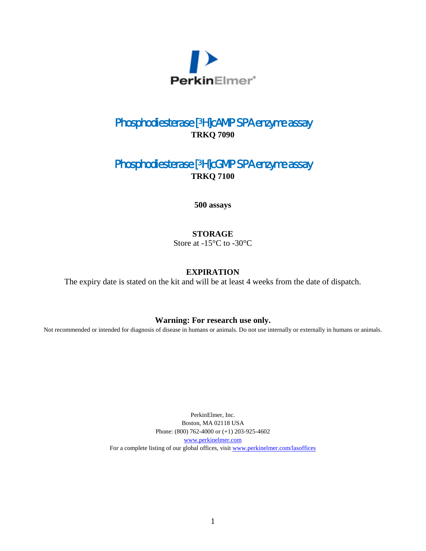

## Phosphodiesterase [3H]cAMP SPA enzyme assay **TRKQ 7090**

### Phosphodiesterase [3H]cGMP SPA enzyme assay **TRKQ 7100**

**500 assays**

#### **STORAGE**

Store at -15°C to -30°C

#### **EXPIRATION**

The expiry date is stated on the kit and will be at least 4 weeks from the date of dispatch.

#### **Warning: For research use only.**

Not recommended or intended for diagnosis of disease in humans or animals. Do not use internally or externally in humans or animals.

PerkinElmer, Inc. Boston, MA 02118 USA Phone: (800) 762-4000 or (+1) 203-925-4602 [www.perkinelmer.com](http://www.perkinelmer.com/) For a complete listing of our global offices, visit [www.perkinelmer.com/lasoffices](http://www.perkinelmer.com/lasoffices)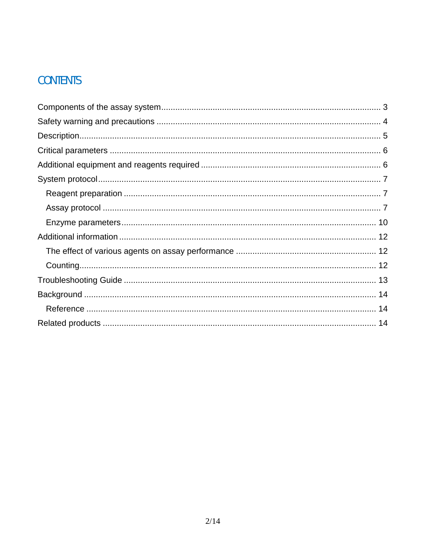# **CONTENTS**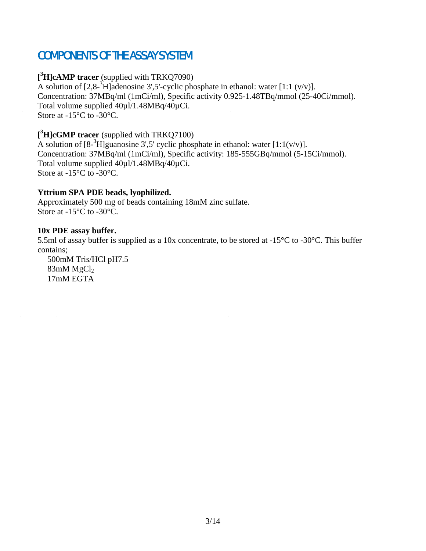# <span id="page-2-0"></span>COMPONENTS OF THE ASSAY SYSTEM

#### **[ 3 H]cAMP tracer** (supplied with TRKQ7090)

A solution of  $[2,8^{-3}H]$  adenosine 3',5'-cyclic phosphate in ethanol: water  $[1:1 (v/v)]$ . Concentration: 37MBq/ml (1mCi/ml), Specific activity 0.925-1.48TBq/mmol (25-40Ci/mmol). Total volume supplied 40µl/1.48MBq/40µCi. Store at -15°C to -30°C.

#### **[ 3 H]cGMP tracer** (supplied with TRKQ7100)

A solution of  $[8^{-3}H]$ guanosine 3',5' cyclic phosphate in ethanol: water  $[1:1(v/v)]$ . Concentration: 37MBq/ml (1mCi/ml), Specific activity: 185-555GBq/mmol (5-15Ci/mmol). Total volume supplied 40µl/1.48MBq/40µCi. Store at -15°C to -30°C.

#### **Yttrium SPA PDE beads, lyophilized.**

Approximately 500 mg of beads containing 18mM zinc sulfate. Store at -15°C to -30°C.

#### **10x PDE assay buffer.**

5.5ml of assay buffer is supplied as a 10x concentrate, to be stored at -15°C to -30°C. This buffer contains;

500mM Tris/HCl pH7.5  $83$ mM MgCl<sub>2</sub> 17mM EGTA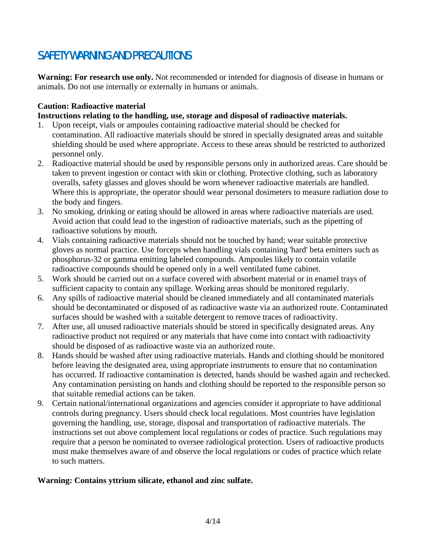# <span id="page-3-0"></span>SAFETY WARNING AND PRECAUTIONS

**Warning: For research use only.** Not recommended or intended for diagnosis of disease in humans or animals. Do not use internally or externally in humans or animals.

#### **Caution: Radioactive material**

**Instructions relating to the handling, use, storage and disposal of radioactive materials.**

- 1. Upon receipt, vials or ampoules containing radioactive material should be checked for contamination. All radioactive materials should be stored in specially designated areas and suitable shielding should be used where appropriate. Access to these areas should be restricted to authorized personnel only.
- 2. Radioactive material should be used by responsible persons only in authorized areas. Care should be taken to prevent ingestion or contact with skin or clothing. Protective clothing, such as laboratory overalls, safety glasses and gloves should be worn whenever radioactive materials are handled. Where this is appropriate, the operator should wear personal dosimeters to measure radiation dose to the body and fingers.
- 3. No smoking, drinking or eating should be allowed in areas where radioactive materials are used. Avoid action that could lead to the ingestion of radioactive materials, such as the pipetting of radioactive solutions by mouth.
- 4. Vials containing radioactive materials should not be touched by hand; wear suitable protective gloves as normal practice. Use forceps when handling vials containing 'hard' beta emitters such as phosphorus-32 or gamma emitting labeled compounds. Ampoules likely to contain volatile radioactive compounds should be opened only in a well ventilated fume cabinet.
- 5. Work should be carried out on a surface covered with absorbent material or in enamel trays of sufficient capacity to contain any spillage. Working areas should be monitored regularly.
- 6. Any spills of radioactive material should be cleaned immediately and all contaminated materials should be decontaminated or disposed of as radioactive waste via an authorized route. Contaminated surfaces should be washed with a suitable detergent to remove traces of radioactivity.
- 7. After use, all unused radioactive materials should be stored in specifically designated areas. Any radioactive product not required or any materials that have come into contact with radioactivity should be disposed of as radioactive waste via an authorized route.
- 8. Hands should be washed after using radioactive materials. Hands and clothing should be monitored before leaving the designated area, using appropriate instruments to ensure that no contamination has occurred. If radioactive contamination is detected, hands should be washed again and rechecked. Any contamination persisting on hands and clothing should be reported to the responsible person so that suitable remedial actions can be taken.
- 9. Certain national/international organizations and agencies consider it appropriate to have additional controls during pregnancy. Users should check local regulations. Most countries have legislation governing the handling, use, storage, disposal and transportation of radioactive materials. The instructions set out above complement local regulations or codes of practice. Such regulations may require that a person be nominated to oversee radiological protection. Users of radioactive products must make themselves aware of and observe the local regulations or codes of practice which relate to such matters.

#### **Warning: Contains yttrium silicate, ethanol and zinc sulfate.**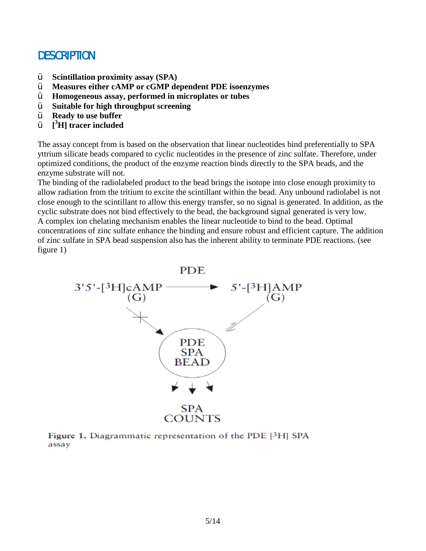## <span id="page-4-0"></span>**DESCRIPTION**

- Ÿ **Scintillation proximity assay (SPA)**
- Ÿ **Measures either cAMP or cGMP dependent PDE isoenzymes**
- Ÿ **Homogeneous assay, performed in microplates or tubes**
- Ÿ **Suitable for high throughput screening**
- **Ready to use buffer**
- Ÿ **[ 3 H] tracer included**

The assay concept from is based on the observation that linear nucleotides bind preferentially to SPA yttrium silicate beads compared to cyclic nucleotides in the presence of zinc sulfate. Therefore, under optimized conditions, the product of the enzyme reaction binds directly to the SPA beads, and the enzyme substrate will not.

The binding of the radiolabeled product to the bead brings the isotope into close enough proximity to allow radiation from the tritium to excite the scintillant within the bead. Any unbound radiolabel is not close enough to the scintillant to allow this energy transfer, so no signal is generated. In addition, as the cyclic substrate does not bind effectively to the bead, the background signal generated is very low. A complex ion chelating mechanism enables the linear nucleotide to bind to the bead. Optimal concentrations of zinc sulfate enhance the binding and ensure robust and efficient capture. The addition of zinc sulfate in SPA bead suspension also has the inherent ability to terminate PDE reactions. (see figure 1)



Figure 1. Diagrammatic representation of the PDE [3H] SPA assay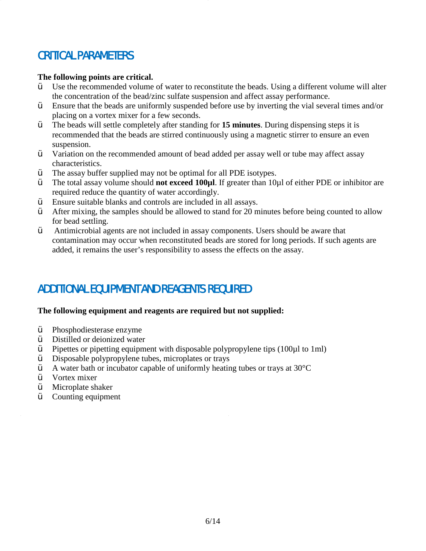# <span id="page-5-0"></span>CRITICAL PARAMETERS

#### **The following points are critical.**

- $\ddot{\mathbf{v}}$  Use the recommended volume of water to reconstitute the beads. Using a different volume will alter the concentration of the bead/zinc sulfate suspension and affect assay performance.
- Ÿ Ensure that the beads are uniformly suspended before use by inverting the vial several times and/or placing on a vortex mixer for a few seconds.
- Ÿ The beads will settle completely after standing for **15 minutes**. During dispensing steps it is recommended that the beads are stirred continuously using a magnetic stirrer to ensure an even suspension.
- $\ddot{\mathbf{v}}$  Variation on the recommended amount of bead added per assay well or tube may affect assay characteristics.
- Ÿ The assay buffer supplied may not be optimal for all PDE isotypes.
- Ÿ The total assay volume should **not exceed 100µl**. If greater than 10µl of either PDE or inhibitor are required reduce the quantity of water accordingly.
- Ÿ Ensure suitable blanks and controls are included in all assays.
- $\ddot{\mathbf{Y}}$  After mixing, the samples should be allowed to stand for 20 minutes before being counted to allow for bead settling.
- Ÿ Antimicrobial agents are not included in assay components. Users should be aware that contamination may occur when reconstituted beads are stored for long periods. If such agents are added, it remains the user's responsibility to assess the effects on the assay.

# <span id="page-5-1"></span>ADDITIONAL EQUIPMENT AND REAGENTS REQUIRED

#### **The following equipment and reagents are required but not supplied:**

- Ÿ Phosphodiesterase enzyme
- $\ddot{\mathbf{y}}$  Distilled or deionized water<br> $\ddot{\mathbf{y}}$  Pinettes or pinetting equipm
- Pipettes or pipetting equipment with disposable polypropylene tips  $(100\mu 1 \text{ to } 1\text{ ml})$
- $\ddot{\mathbf{y}}$  Disposable polypropylene tubes, microplates or trays<br> $\ddot{\mathbf{y}}$  A water bath or incubator capable of uniformly heating
- A water bath or incubator capable of uniformly heating tubes or trays at  $30^{\circ}$ C
- $\dot{V}$  Vortex mixer
- $\ddot{\mathbf{y}}$  Microplate shaker
- Counting equipment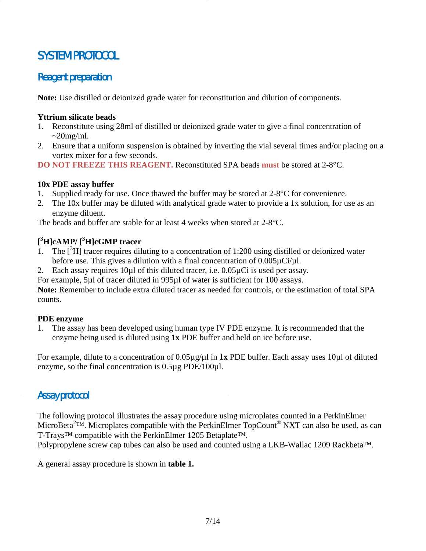# <span id="page-6-0"></span>SYSTEM PROTOCOL

### <span id="page-6-1"></span>Reagent preparation

**Note:** Use distilled or deionized grade water for reconstitution and dilution of components.

#### **Yttrium silicate beads**

- 1. Reconstitute using 28ml of distilled or deionized grade water to give a final concentration of  $\sim$ 20mg/ml.
- 2. Ensure that a uniform suspension is obtained by inverting the vial several times and/or placing on a vortex mixer for a few seconds.
- **DO NOT FREEZE THIS REAGENT.** Reconstituted SPA beads **must** be stored at 2-8°C.

#### **10x PDE assay buffer**

- 1. Supplied ready for use. Once thawed the buffer may be stored at 2-8°C for convenience.
- 2. The 10x buffer may be diluted with analytical grade water to provide a 1x solution, for use as an enzyme diluent.

The beads and buffer are stable for at least 4 weeks when stored at 2-8°C.

#### **[ 3 H]cAMP/ [ 3 H]cGMP tracer**

- 1. The  $[3H]$  tracer requires diluting to a concentration of 1:200 using distilled or deionized water before use. This gives a dilution with a final concentration of  $0.005\mu\text{Ci/}\mu\text{l}$ .
- 2. Each assay requires 10µl of this diluted tracer, i.e. 0.05µCi is used per assay.

For example, 5µl of tracer diluted in 995µl of water is sufficient for 100 assays.

**Note:** Remember to include extra diluted tracer as needed for controls, or the estimation of total SPA counts.

#### **PDE enzyme**

1. The assay has been developed using human type IV PDE enzyme. It is recommended that the enzyme being used is diluted using **1x** PDE buffer and held on ice before use.

For example, dilute to a concentration of 0.05µg/µl in **1x** PDE buffer. Each assay uses 10µl of diluted enzyme, so the final concentration is 0.5µg PDE/100µl.

### <span id="page-6-2"></span>Assay protocol

The following protocol illustrates the assay procedure using microplates counted in a PerkinElmer MicroBeta<sup>2TM</sup>. Microplates compatible with the PerkinElmer TopCount<sup>®</sup> NXT can also be used, as can T-Trays™ compatible with the PerkinElmer 1205 Betaplate™.

Polypropylene screw cap tubes can also be used and counted using a LKB-Wallac 1209 Rackbeta™.

A general assay procedure is shown in **table 1.**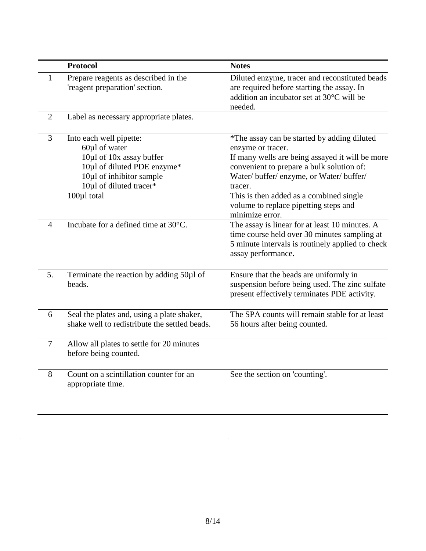|                | <b>Protocol</b>                                                                                                                                                           | <b>Notes</b>                                                                                                                                                                                                                                                                                                                   |
|----------------|---------------------------------------------------------------------------------------------------------------------------------------------------------------------------|--------------------------------------------------------------------------------------------------------------------------------------------------------------------------------------------------------------------------------------------------------------------------------------------------------------------------------|
|                | Prepare reagents as described in the<br>'reagent preparation' section.                                                                                                    | Diluted enzyme, tracer and reconstituted beads<br>are required before starting the assay. In<br>addition an incubator set at 30°C will be<br>needed.                                                                                                                                                                           |
| $\overline{2}$ | Label as necessary appropriate plates.                                                                                                                                    |                                                                                                                                                                                                                                                                                                                                |
| 3              | Into each well pipette:<br>60µl of water<br>10µ1 of 10x assay buffer<br>10µ1 of diluted PDE enzyme*<br>10µ1 of inhibitor sample<br>10µ1 of diluted tracer*<br>100µl total | *The assay can be started by adding diluted<br>enzyme or tracer.<br>If many wells are being assayed it will be more<br>convenient to prepare a bulk solution of:<br>Water/ buffer/ enzyme, or Water/ buffer/<br>tracer.<br>This is then added as a combined single<br>volume to replace pipetting steps and<br>minimize error. |
| $\overline{4}$ | Incubate for a defined time at 30°C.                                                                                                                                      | The assay is linear for at least 10 minutes. A<br>time course held over 30 minutes sampling at<br>5 minute intervals is routinely applied to check<br>assay performance.                                                                                                                                                       |
| 5.             | Terminate the reaction by adding 50ul of<br>beads.                                                                                                                        | Ensure that the beads are uniformly in<br>suspension before being used. The zinc sulfate<br>present effectively terminates PDE activity.                                                                                                                                                                                       |
| 6              | Seal the plates and, using a plate shaker,<br>shake well to redistribute the settled beads.                                                                               | The SPA counts will remain stable for at least<br>56 hours after being counted.                                                                                                                                                                                                                                                |
| $\tau$         | Allow all plates to settle for 20 minutes<br>before being counted.                                                                                                        |                                                                                                                                                                                                                                                                                                                                |
| 8              | Count on a scintillation counter for an<br>appropriate time.                                                                                                              | See the section on 'counting'.                                                                                                                                                                                                                                                                                                 |

 $\sim 10^{-11}$ 

 $\frac{1}{2}$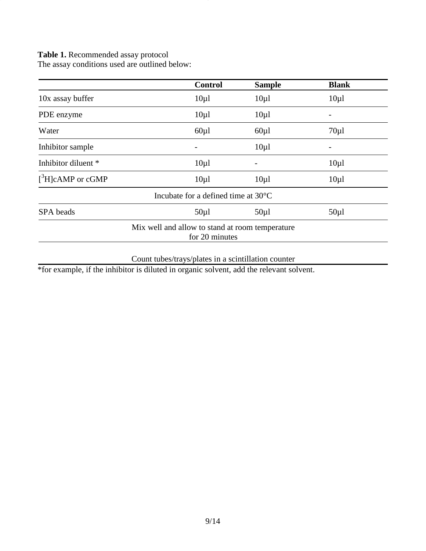**Table 1.** Recommended assay protocol

The assay conditions used are outlined below:

|                        | <b>Control</b> | <b>Sample</b>                                   | <b>Blank</b> |
|------------------------|----------------|-------------------------------------------------|--------------|
| 10x assay buffer       | $10\mu$ l      | $10\mu$                                         | $10\mu$      |
| PDE enzyme             | $10\mu$        | $10\mu$                                         |              |
| Water                  | $60\mu$        | $60\mu$                                         | $70\mu$      |
| Inhibitor sample       |                | $10\mu$                                         |              |
| Inhibitor diluent *    | $10\mu$        |                                                 | $10\mu$      |
| $[{}^3H]$ cAMP or cGMP | $10\mu$        | $10\mu$                                         | $10\mu$      |
|                        |                | Incubate for a defined time at $30^{\circ}$ C   |              |
| SPA beads              | $50\mu$        | $50\mu$                                         | $50\mu$      |
|                        | for 20 minutes | Mix well and allow to stand at room temperature |              |

Count tubes/trays/plates in a scintillation counter

\*for example, if the inhibitor is diluted in organic solvent, add the relevant solvent.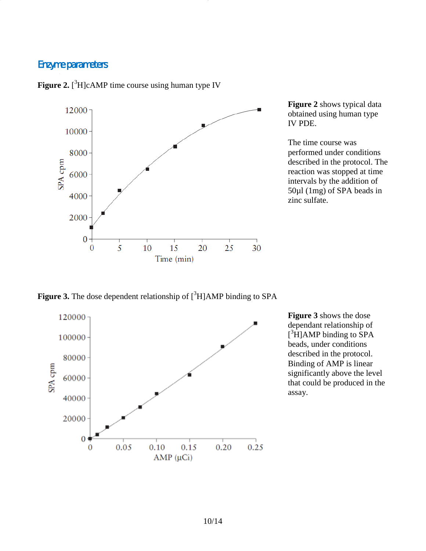### <span id="page-9-0"></span>Enzyme parameters



Figure 2. [<sup>3</sup>H]cAMP time course using human type IV

**Figure 2** shows typical data obtained using human type IV PDE.

The time course was performed under conditions described in the protocol. The reaction was stopped at time intervals by the addition of 50µl (1mg) of SPA beads in zinc sulfate.

Figure 3. The dose dependent relationship of [<sup>3</sup>H]AMP binding to SPA



**Figure 3** shows the dose dependant relationship of  $[$ <sup>3</sup>H]AMP binding to SPA beads, under conditions described in the protocol. Binding of AMP is linear significantly above the level that could be produced in the assay.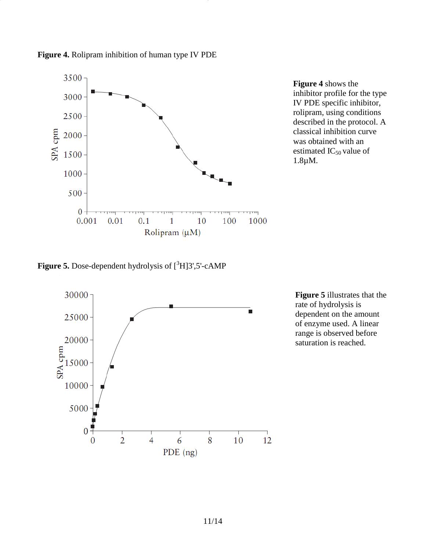

**Figure 4** shows the inhibitor profile for the type IV PDE specific inhibitor, rolipram, using conditions described in the protocol. A classical inhibition curve was obtained with an estimated  $IC_{50}$  value of 1.8µM.

**Figure 5.** Dose-dependent hydrolysis of  $[^{3}H]3'$ ,5'-cAMP



**Figure 5** illustrates that the rate of hydrolysis is dependent on the amount of enzyme used. A linear range is observed before saturation is reached.

**Figure 4.** Rolipram inhibition of human type IV PDE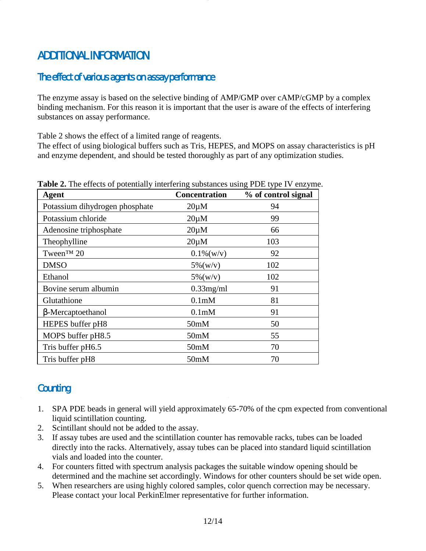# <span id="page-11-0"></span>ADDITIONAL INFORMATION

### <span id="page-11-1"></span>The effect of various agents on assay performance

The enzyme assay is based on the selective binding of AMP/GMP over cAMP/cGMP by a complex binding mechanism. For this reason it is important that the user is aware of the effects of interfering substances on assay performance.

Table 2 shows the effect of a limited range of reagents.

The effect of using biological buffers such as Tris, HEPES, and MOPS on assay characteristics is pH and enzyme dependent, and should be tested thoroughly as part of any optimization studies.

| <b>Agent</b>                   | <b>Concentration</b> | % of control signal |
|--------------------------------|----------------------|---------------------|
| Potassium dihydrogen phosphate | $20 \mu M$           | 94                  |
| Potassium chloride             | $20 \mu M$           | 99                  |
| Adenosine triphosphate         | $20 \mu M$           | 66                  |
| Theophylline                   | $20 \mu M$           | 103                 |
| Tween <sup>™</sup> 20          | $0.1\%$ (w/v)        | 92                  |
| <b>DMSO</b>                    | $5\%$ (w/v)          | 102                 |
| Ethanol                        | $5\%$ (w/v)          | 102                 |
| Bovine serum albumin           | $0.33$ mg/ml         | 91                  |
| Glutathione                    | 0.1 <sub>m</sub> M   | 81                  |
| b-Mercaptoethanol              | 0.1 <sub>m</sub> M   | 91                  |
| HEPES buffer pH8               | 50 <sub>m</sub> M    | 50                  |
| MOPS buffer pH8.5              | 50 <sub>m</sub> M    | 55                  |
| Tris buffer pH6.5              | 50 <sub>m</sub> M    | 70                  |
| Tris buffer pH8                | 50 <sub>m</sub> M    | 70                  |

| Table 2. The effects of potentially interfering substances using PDE type IV enzyme. |  |  |  |  |  |  |
|--------------------------------------------------------------------------------------|--|--|--|--|--|--|
|--------------------------------------------------------------------------------------|--|--|--|--|--|--|

## <span id="page-11-2"></span>**Counting**

- 1. SPA PDE beads in general will yield approximately 65-70% of the cpm expected from conventional liquid scintillation counting.
- 2. Scintillant should not be added to the assay.
- 3. If assay tubes are used and the scintillation counter has removable racks, tubes can be loaded directly into the racks. Alternatively, assay tubes can be placed into standard liquid scintillation vials and loaded into the counter.
- 4. For counters fitted with spectrum analysis packages the suitable window opening should be determined and the machine set accordingly. Windows for other counters should be set wide open.
- 5. When researchers are using highly colored samples, color quench correction may be necessary. Please contact your local PerkinElmer representative for further information.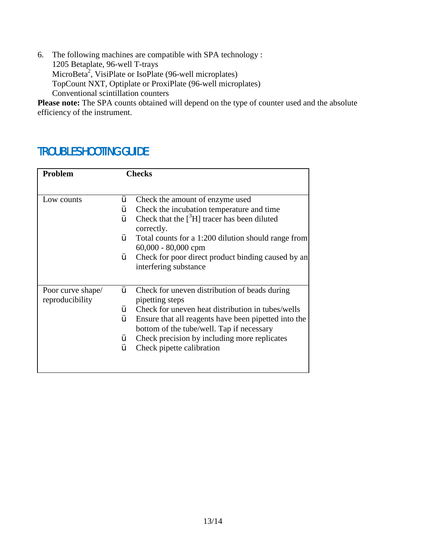6. The following machines are compatible with SPA technology : 1205 Betaplate, 96-well T-trays MicroBeta<sup>2</sup>, VisiPlate or IsoPlate (96-well microplates) TopCount NXT, Optiplate or ProxiPlate (96-well microplates) Conventional scintillation counters

Please note: The SPA counts obtained will depend on the type of counter used and the absolute efficiency of the instrument.

# <span id="page-12-0"></span>TROUBLESHOOTING GUIDE

| Problem           | <b>Checks</b> |                                                                                                   |  |
|-------------------|---------------|---------------------------------------------------------------------------------------------------|--|
|                   |               |                                                                                                   |  |
| Low counts        | Ÿ             | Check the amount of enzyme used                                                                   |  |
|                   | Y             | Check the incubation temperature and time                                                         |  |
|                   | Ÿ             | Check that the $[{}^3H]$ tracer has been diluted<br>correctly.                                    |  |
|                   | Ÿ             | Total counts for a 1:200 dilution should range from<br>$60,000 - 80,000$ cpm                      |  |
|                   | Ÿ             | Check for poor direct product binding caused by an                                                |  |
|                   |               | interfering substance                                                                             |  |
|                   |               |                                                                                                   |  |
| Poor curve shape/ | Ÿ             | Check for uneven distribution of beads during                                                     |  |
| reproducibility   |               | pipetting steps                                                                                   |  |
|                   | Ÿ             | Check for uneven heat distribution in tubes/wells                                                 |  |
|                   | Ÿ             | Ensure that all reagents have been pipetted into the<br>bottom of the tube/well. Tap if necessary |  |
|                   | Y             | Check precision by including more replicates                                                      |  |
|                   |               | Check pipette calibration                                                                         |  |
|                   |               |                                                                                                   |  |